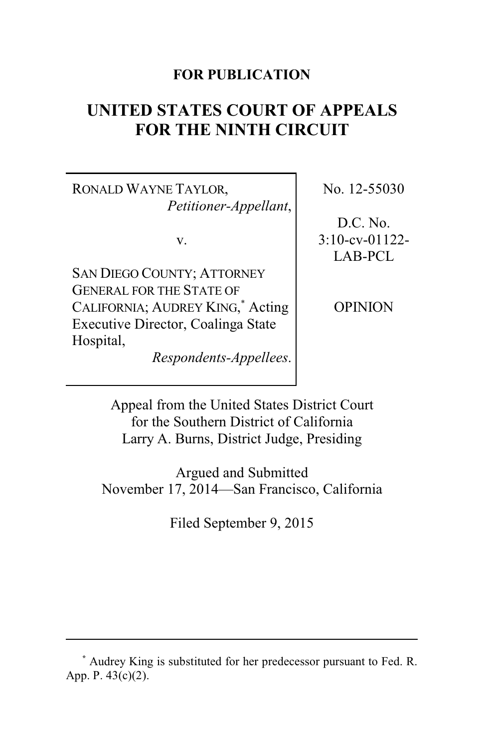# **FOR PUBLICATION**

# **UNITED STATES COURT OF APPEALS FOR THE NINTH CIRCUIT**

RONALD WAYNE TAYLOR, *Petitioner-Appellant*,

v.

SAN DIEGO COUNTY; ATTORNEY GENERAL FOR THE STATE OF CALIFORNIA; AUDREY KING,\* Acting Executive Director, Coalinga State Hospital,

*Respondents-Appellees*.

No. 12-55030

D.C. No. 3:10-cv-01122- LAB-PCL

OPINION

Appeal from the United States District Court for the Southern District of California Larry A. Burns, District Judge, Presiding

Argued and Submitted November 17, 2014—San Francisco, California

Filed September 9, 2015

**<sup>\*</sup>** Audrey King is substituted for her predecessor pursuant to Fed. R. App. P. 43(c)(2).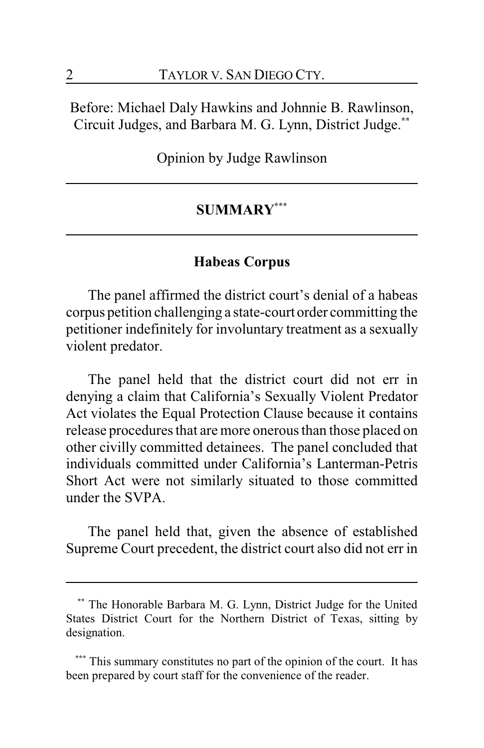Before: Michael Daly Hawkins and Johnnie B. Rawlinson, Circuit Judges, and Barbara M. G. Lynn, District Judge. **\*\***

Opinion by Judge Rawlinson

# **SUMMARY\*\*\***

# **Habeas Corpus**

The panel affirmed the district court's denial of a habeas corpus petition challenging a state-court order committing the petitioner indefinitely for involuntary treatment as a sexually violent predator.

The panel held that the district court did not err in denying a claim that California's Sexually Violent Predator Act violates the Equal Protection Clause because it contains release procedures that are more onerous than those placed on other civilly committed detainees. The panel concluded that individuals committed under California's Lanterman-Petris Short Act were not similarly situated to those committed under the SVPA.

The panel held that, given the absence of established Supreme Court precedent, the district court also did not err in

**<sup>\*\*</sup>** The Honorable Barbara M. G. Lynn, District Judge for the United States District Court for the Northern District of Texas, sitting by designation.

This summary constitutes no part of the opinion of the court. It has been prepared by court staff for the convenience of the reader.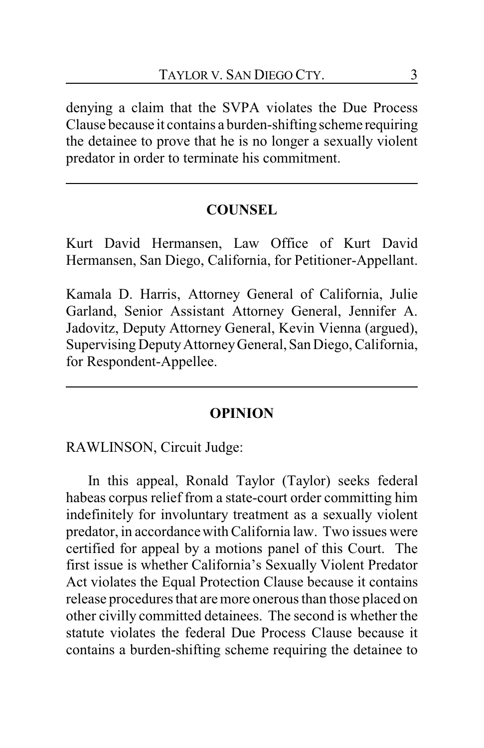denying a claim that the SVPA violates the Due Process Clause because it contains a burden-shifting scheme requiring the detainee to prove that he is no longer a sexually violent predator in order to terminate his commitment.

# **COUNSEL**

Kurt David Hermansen, Law Office of Kurt David Hermansen, San Diego, California, for Petitioner-Appellant.

Kamala D. Harris, Attorney General of California, Julie Garland, Senior Assistant Attorney General, Jennifer A. Jadovitz, Deputy Attorney General, Kevin Vienna (argued), Supervising DeputyAttorneyGeneral, San Diego, California, for Respondent-Appellee.

#### **OPINION**

RAWLINSON, Circuit Judge:

In this appeal, Ronald Taylor (Taylor) seeks federal habeas corpus relief from a state-court order committing him indefinitely for involuntary treatment as a sexually violent predator, in accordance with California law. Two issues were certified for appeal by a motions panel of this Court. The first issue is whether California's Sexually Violent Predator Act violates the Equal Protection Clause because it contains release procedures that are more onerous than those placed on other civilly committed detainees. The second is whether the statute violates the federal Due Process Clause because it contains a burden-shifting scheme requiring the detainee to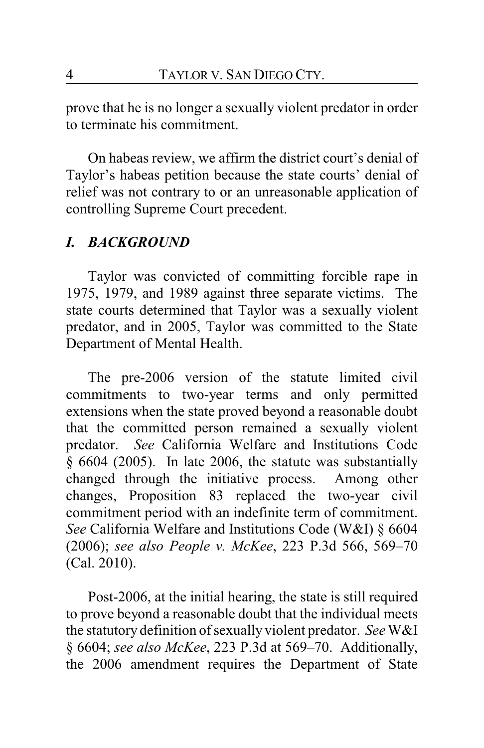prove that he is no longer a sexually violent predator in order to terminate his commitment.

On habeas review, we affirm the district court's denial of Taylor's habeas petition because the state courts' denial of relief was not contrary to or an unreasonable application of controlling Supreme Court precedent.

# *I. BACKGROUND*

Taylor was convicted of committing forcible rape in 1975, 1979, and 1989 against three separate victims. The state courts determined that Taylor was a sexually violent predator, and in 2005, Taylor was committed to the State Department of Mental Health.

The pre-2006 version of the statute limited civil commitments to two-year terms and only permitted extensions when the state proved beyond a reasonable doubt that the committed person remained a sexually violent predator. *See* California Welfare and Institutions Code § 6604 (2005). In late 2006, the statute was substantially changed through the initiative process. Among other changes, Proposition 83 replaced the two-year civil commitment period with an indefinite term of commitment. *See* California Welfare and Institutions Code (W&I) § 6604 (2006); *see also People v. McKee*, 223 P.3d 566, 569–70 (Cal. 2010).

Post-2006, at the initial hearing, the state is still required to prove beyond a reasonable doubt that the individual meets the statutory definition of sexually violent predator. *See*W&I § 6604; *see also McKee*, 223 P.3d at 569–70. Additionally, the 2006 amendment requires the Department of State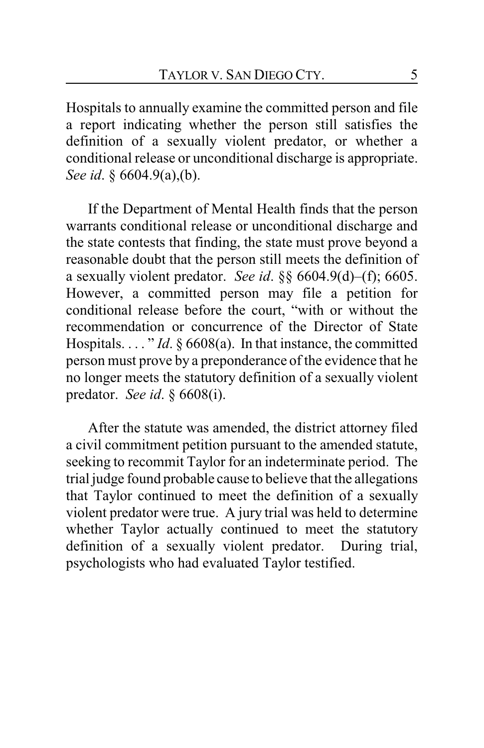Hospitals to annually examine the committed person and file a report indicating whether the person still satisfies the definition of a sexually violent predator, or whether a conditional release or unconditional discharge is appropriate. *See id*. § 6604.9(a),(b).

If the Department of Mental Health finds that the person warrants conditional release or unconditional discharge and the state contests that finding, the state must prove beyond a reasonable doubt that the person still meets the definition of a sexually violent predator. *See id*. §§ 6604.9(d)–(f); 6605. However, a committed person may file a petition for conditional release before the court, "with or without the recommendation or concurrence of the Director of State Hospitals. . . . " *Id*. § 6608(a). In that instance, the committed person must prove by a preponderance of the evidence that he no longer meets the statutory definition of a sexually violent predator. *See id*. § 6608(i).

After the statute was amended, the district attorney filed a civil commitment petition pursuant to the amended statute, seeking to recommit Taylor for an indeterminate period. The trial judge found probable cause to believe that the allegations that Taylor continued to meet the definition of a sexually violent predator were true. A jury trial was held to determine whether Taylor actually continued to meet the statutory definition of a sexually violent predator. During trial, psychologists who had evaluated Taylor testified.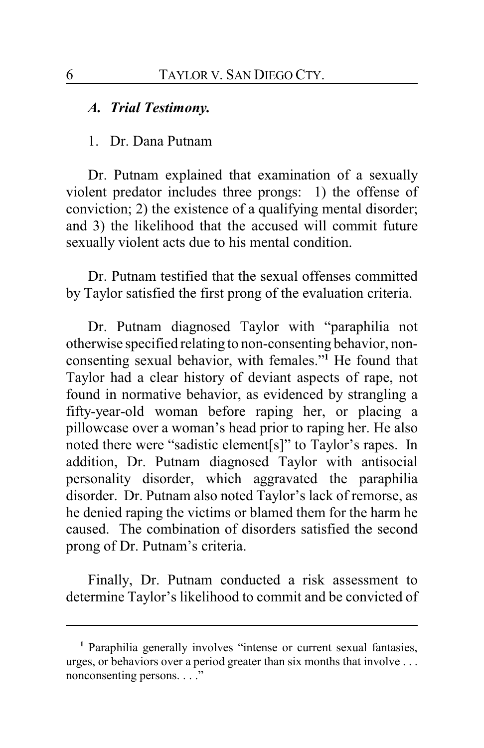#### *A. Trial Testimony.*

#### 1. Dr. Dana Putnam

Dr. Putnam explained that examination of a sexually violent predator includes three prongs: 1) the offense of conviction; 2) the existence of a qualifying mental disorder; and 3) the likelihood that the accused will commit future sexually violent acts due to his mental condition.

Dr. Putnam testified that the sexual offenses committed by Taylor satisfied the first prong of the evaluation criteria.

Dr. Putnam diagnosed Taylor with "paraphilia not otherwise specified relating to non-consenting behavior, nonconsenting sexual behavior, with females."**<sup>1</sup>** He found that Taylor had a clear history of deviant aspects of rape, not found in normative behavior, as evidenced by strangling a fifty-year-old woman before raping her, or placing a pillowcase over a woman's head prior to raping her. He also noted there were "sadistic element[s]" to Taylor's rapes. In addition, Dr. Putnam diagnosed Taylor with antisocial personality disorder, which aggravated the paraphilia disorder. Dr. Putnam also noted Taylor's lack of remorse, as he denied raping the victims or blamed them for the harm he caused. The combination of disorders satisfied the second prong of Dr. Putnam's criteria.

Finally, Dr. Putnam conducted a risk assessment to determine Taylor's likelihood to commit and be convicted of

**<sup>1</sup>** Paraphilia generally involves "intense or current sexual fantasies, urges, or behaviors over a period greater than six months that involve . . . nonconsenting persons. . . ."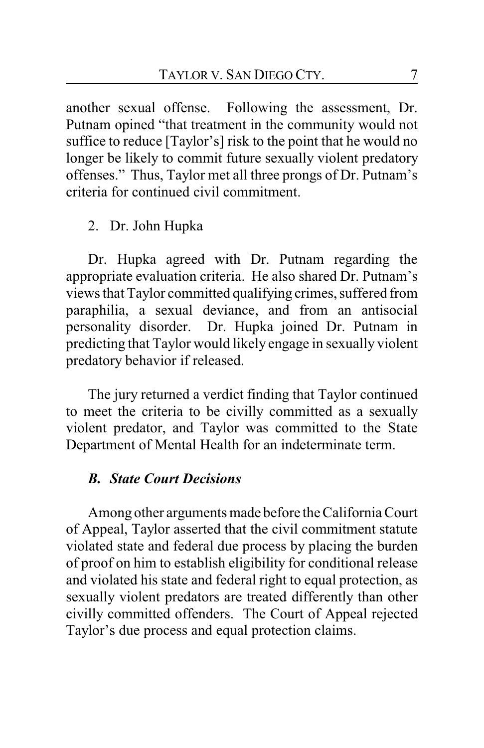another sexual offense. Following the assessment, Dr. Putnam opined "that treatment in the community would not suffice to reduce [Taylor's] risk to the point that he would no longer be likely to commit future sexually violent predatory offenses." Thus, Taylor met all three prongs of Dr. Putnam's criteria for continued civil commitment.

# 2. Dr. John Hupka

Dr. Hupka agreed with Dr. Putnam regarding the appropriate evaluation criteria. He also shared Dr. Putnam's views that Taylor committed qualifying crimes, suffered from paraphilia, a sexual deviance, and from an antisocial personality disorder. Dr. Hupka joined Dr. Putnam in predicting that Taylor would likely engage in sexually violent predatory behavior if released.

The jury returned a verdict finding that Taylor continued to meet the criteria to be civilly committed as a sexually violent predator, and Taylor was committed to the State Department of Mental Health for an indeterminate term.

# *B. State Court Decisions*

Among other arguments made before the California Court of Appeal, Taylor asserted that the civil commitment statute violated state and federal due process by placing the burden of proof on him to establish eligibility for conditional release and violated his state and federal right to equal protection, as sexually violent predators are treated differently than other civilly committed offenders. The Court of Appeal rejected Taylor's due process and equal protection claims.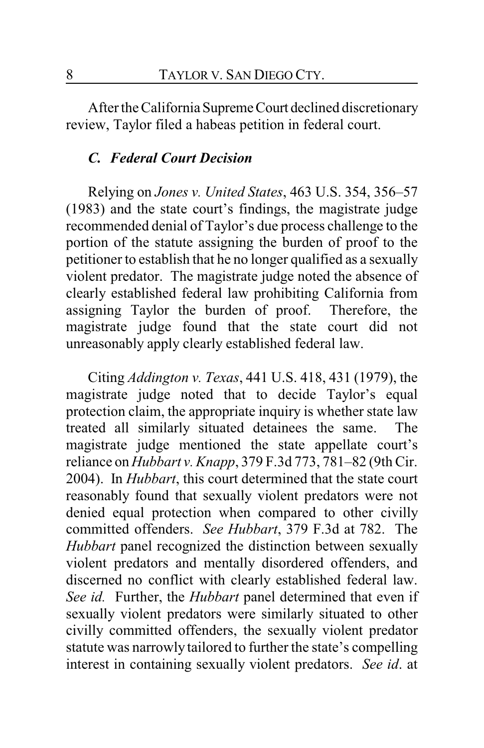After the CaliforniaSupremeCourt declined discretionary review, Taylor filed a habeas petition in federal court.

### *C. Federal Court Decision*

Relying on *Jones v. United States*, 463 U.S. 354, 356–57 (1983) and the state court's findings, the magistrate judge recommended denial of Taylor's due process challenge to the portion of the statute assigning the burden of proof to the petitioner to establish that he no longer qualified as a sexually violent predator. The magistrate judge noted the absence of clearly established federal law prohibiting California from assigning Taylor the burden of proof. Therefore, the magistrate judge found that the state court did not unreasonably apply clearly established federal law.

Citing *Addington v. Texas*, 441 U.S. 418, 431 (1979), the magistrate judge noted that to decide Taylor's equal protection claim, the appropriate inquiry is whether state law treated all similarly situated detainees the same. The magistrate judge mentioned the state appellate court's reliance on *Hubbart v. Knapp*, 379 F.3d 773, 781–82 (9th Cir. 2004). In *Hubbart*, this court determined that the state court reasonably found that sexually violent predators were not denied equal protection when compared to other civilly committed offenders. *See Hubbart*, 379 F.3d at 782. The *Hubbart* panel recognized the distinction between sexually violent predators and mentally disordered offenders, and discerned no conflict with clearly established federal law. *See id.* Further, the *Hubbart* panel determined that even if sexually violent predators were similarly situated to other civilly committed offenders, the sexually violent predator statute was narrowly tailored to further the state's compelling interest in containing sexually violent predators. *See id*. at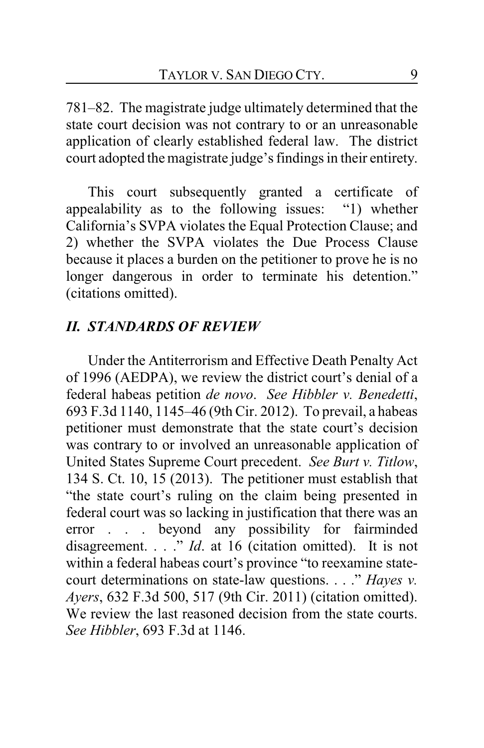781–82. The magistrate judge ultimately determined that the state court decision was not contrary to or an unreasonable application of clearly established federal law. The district court adopted the magistrate judge's findings in their entirety.

This court subsequently granted a certificate of appealability as to the following issues: "1) whether California's SVPA violates the Equal Protection Clause; and 2) whether the SVPA violates the Due Process Clause because it places a burden on the petitioner to prove he is no longer dangerous in order to terminate his detention." (citations omitted).

### *II. STANDARDS OF REVIEW*

Under the Antiterrorism and Effective Death Penalty Act of 1996 (AEDPA), we review the district court's denial of a federal habeas petition *de novo*. *See Hibbler v. Benedetti*, 693 F.3d 1140, 1145–46 (9th Cir. 2012). To prevail, a habeas petitioner must demonstrate that the state court's decision was contrary to or involved an unreasonable application of United States Supreme Court precedent. *See Burt v. Titlow*, 134 S. Ct. 10, 15 (2013). The petitioner must establish that "the state court's ruling on the claim being presented in federal court was so lacking in justification that there was an error . . . beyond any possibility for fairminded disagreement. . . ." *Id*. at 16 (citation omitted). It is not within a federal habeas court's province "to reexamine statecourt determinations on state-law questions. . . ." *Hayes v. Ayers*, 632 F.3d 500, 517 (9th Cir. 2011) (citation omitted). We review the last reasoned decision from the state courts. *See Hibbler*, 693 F.3d at 1146.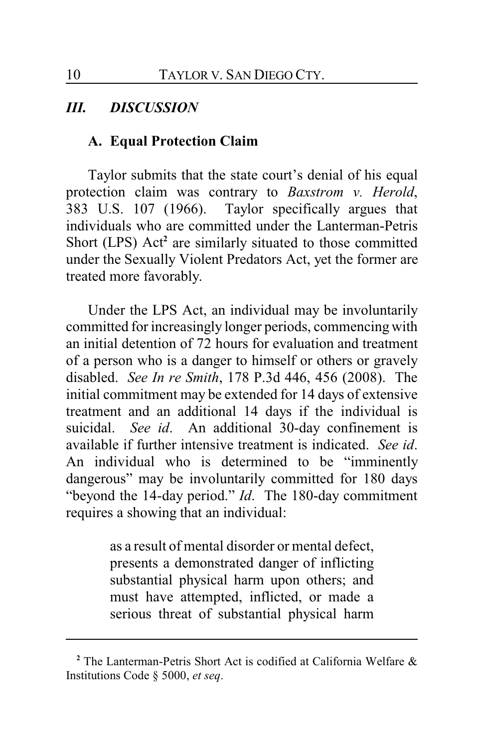# *III. DISCUSSION*

### **A. Equal Protection Claim**

Taylor submits that the state court's denial of his equal protection claim was contrary to *Baxstrom v. Herold*, 383 U.S. 107 (1966). Taylor specifically argues that individuals who are committed under the Lanterman-Petris Short (LPS) Act<sup>2</sup> are similarly situated to those committed under the Sexually Violent Predators Act, yet the former are treated more favorably.

Under the LPS Act, an individual may be involuntarily committed for increasingly longer periods, commencing with an initial detention of 72 hours for evaluation and treatment of a person who is a danger to himself or others or gravely disabled. *See In re Smith*, 178 P.3d 446, 456 (2008). The initial commitment may be extended for 14 days of extensive treatment and an additional 14 days if the individual is suicidal. *See id*. An additional 30-day confinement is available if further intensive treatment is indicated. *See id*. An individual who is determined to be "imminently dangerous" may be involuntarily committed for 180 days "beyond the 14-day period." *Id*. The 180-day commitment requires a showing that an individual:

> as a result of mental disorder or mental defect, presents a demonstrated danger of inflicting substantial physical harm upon others; and must have attempted, inflicted, or made a serious threat of substantial physical harm

**<sup>2</sup>** The Lanterman-Petris Short Act is codified at California Welfare & Institutions Code § 5000, *et seq*.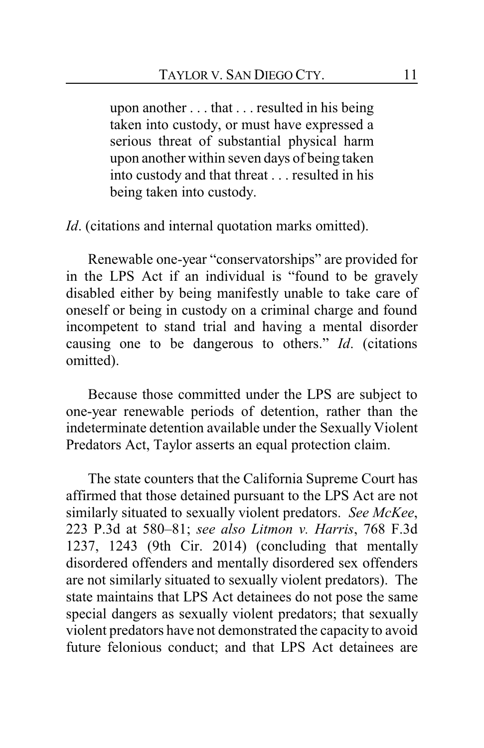upon another . . . that . . . resulted in his being taken into custody, or must have expressed a serious threat of substantial physical harm upon another within seven days of being taken into custody and that threat . . . resulted in his being taken into custody.

*Id.* (citations and internal quotation marks omitted).

Renewable one-year "conservatorships" are provided for in the LPS Act if an individual is "found to be gravely disabled either by being manifestly unable to take care of oneself or being in custody on a criminal charge and found incompetent to stand trial and having a mental disorder causing one to be dangerous to others." *Id*. (citations omitted).

Because those committed under the LPS are subject to one-year renewable periods of detention, rather than the indeterminate detention available under the Sexually Violent Predators Act, Taylor asserts an equal protection claim.

The state counters that the California Supreme Court has affirmed that those detained pursuant to the LPS Act are not similarly situated to sexually violent predators. *See McKee*, 223 P.3d at 580–81; *see also Litmon v. Harris*, 768 F.3d 1237, 1243 (9th Cir. 2014) (concluding that mentally disordered offenders and mentally disordered sex offenders are not similarly situated to sexually violent predators). The state maintains that LPS Act detainees do not pose the same special dangers as sexually violent predators; that sexually violent predators have not demonstrated the capacity to avoid future felonious conduct; and that LPS Act detainees are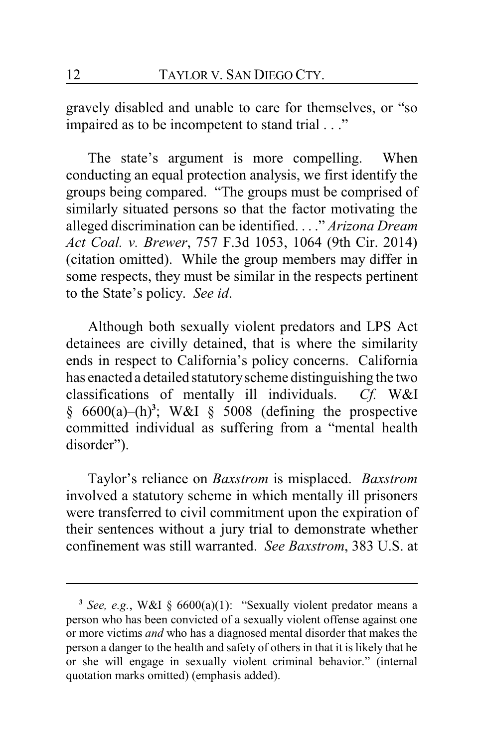gravely disabled and unable to care for themselves, or "so impaired as to be incompetent to stand trial . . ."

The state's argument is more compelling. When conducting an equal protection analysis, we first identify the groups being compared. "The groups must be comprised of similarly situated persons so that the factor motivating the alleged discrimination can be identified. . . ." *Arizona Dream Act Coal. v. Brewer*, 757 F.3d 1053, 1064 (9th Cir. 2014) (citation omitted). While the group members may differ in some respects, they must be similar in the respects pertinent to the State's policy. *See id*.

Although both sexually violent predators and LPS Act detainees are civilly detained, that is where the similarity ends in respect to California's policy concerns. California has enacted a detailed statutoryscheme distinguishing the two classifications of mentally ill individuals. *Cf.* W&I  $§ 6600(a)–(h)<sup>3</sup>$ ; W&I § 5008 (defining the prospective committed individual as suffering from a "mental health disorder").

Taylor's reliance on *Baxstrom* is misplaced. *Baxstrom* involved a statutory scheme in which mentally ill prisoners were transferred to civil commitment upon the expiration of their sentences without a jury trial to demonstrate whether confinement was still warranted. *See Baxstrom*, 383 U.S. at

**<sup>3</sup>** *See, e.g.*, W&I § 6600(a)(1): "Sexually violent predator means a person who has been convicted of a sexually violent offense against one or more victims *and* who has a diagnosed mental disorder that makes the person a danger to the health and safety of others in that it is likely that he or she will engage in sexually violent criminal behavior." (internal quotation marks omitted) (emphasis added).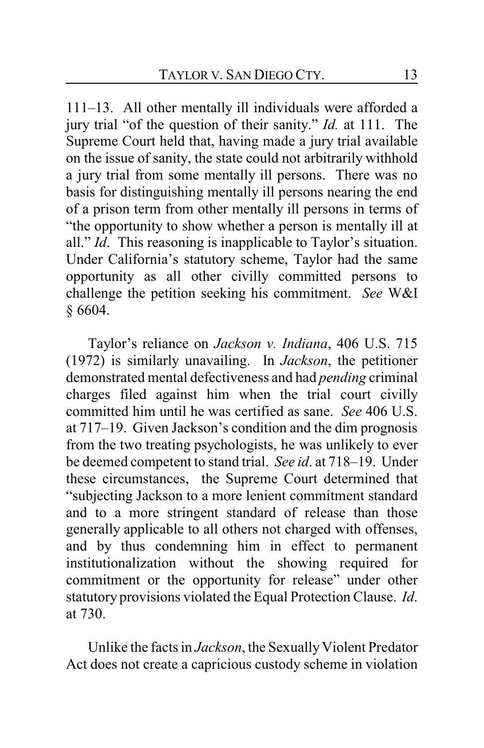111–13. All other mentally ill individuals were afforded a jury trial "of the question of their sanity." *Id.* at 111. The Supreme Court held that, having made a jury trial available on the issue of sanity, the state could not arbitrarily withhold a jury trial from some mentally ill persons. There was no basis for distinguishing mentally ill persons nearing the end of a prison term from other mentally ill persons in terms of "the opportunity to show whether a person is mentally ill at all." *Id*. This reasoning is inapplicable to Taylor's situation. Under California's statutory scheme, Taylor had the same opportunity as all other civilly committed persons to challenge the petition seeking his commitment. *See* W&I § 6604.

Taylor's reliance on *Jackson v. Indiana*, 406 U.S. 715 (1972) is similarly unavailing. In *Jackson*, the petitioner demonstrated mental defectiveness and had *pending* criminal charges filed against him when the trial court civilly committed him until he was certified as sane. *See* 406 U.S. at 717–19. Given Jackson's condition and the dim prognosis from the two treating psychologists, he was unlikely to ever be deemed competent to stand trial. *See id*. at 718–19. Under these circumstances, the Supreme Court determined that "subjecting Jackson to a more lenient commitment standard and to a more stringent standard of release than those generally applicable to all others not charged with offenses, and by thus condemning him in effect to permanent institutionalization without the showing required for commitment or the opportunity for release" under other statutory provisions violated the Equal Protection Clause. *Id*. at 730.

Unlike the facts in *Jackson*, the Sexually Violent Predator Act does not create a capricious custody scheme in violation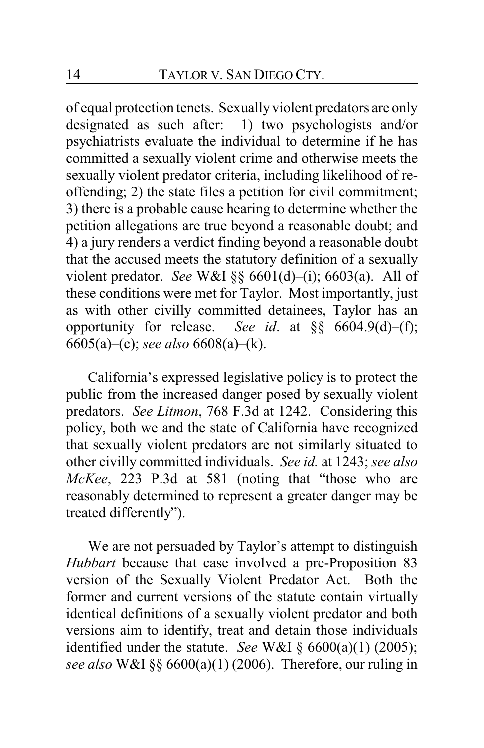of equal protection tenets. Sexually violent predators are only designated as such after: 1) two psychologists and/or psychiatrists evaluate the individual to determine if he has committed a sexually violent crime and otherwise meets the sexually violent predator criteria, including likelihood of reoffending; 2) the state files a petition for civil commitment; 3) there is a probable cause hearing to determine whether the petition allegations are true beyond a reasonable doubt; and 4) a jury renders a verdict finding beyond a reasonable doubt that the accused meets the statutory definition of a sexually violent predator. *See* W&I §§ 6601(d)–(i); 6603(a). All of these conditions were met for Taylor. Most importantly, just as with other civilly committed detainees, Taylor has an opportunity for release. *See id*. at §§ 6604.9(d)–(f); 6605(a)–(c); *see also* 6608(a)–(k).

California's expressed legislative policy is to protect the public from the increased danger posed by sexually violent predators. *See Litmon*, 768 F.3d at 1242. Considering this policy, both we and the state of California have recognized that sexually violent predators are not similarly situated to other civilly committed individuals. *See id.* at 1243; *see also McKee*, 223 P.3d at 581 (noting that "those who are reasonably determined to represent a greater danger may be treated differently").

We are not persuaded by Taylor's attempt to distinguish *Hubbart* because that case involved a pre-Proposition 83 version of the Sexually Violent Predator Act. Both the former and current versions of the statute contain virtually identical definitions of a sexually violent predator and both versions aim to identify, treat and detain those individuals identified under the statute. *See* W&I § 6600(a)(1) (2005); *see also* W&I §§ 6600(a)(1) (2006). Therefore, our ruling in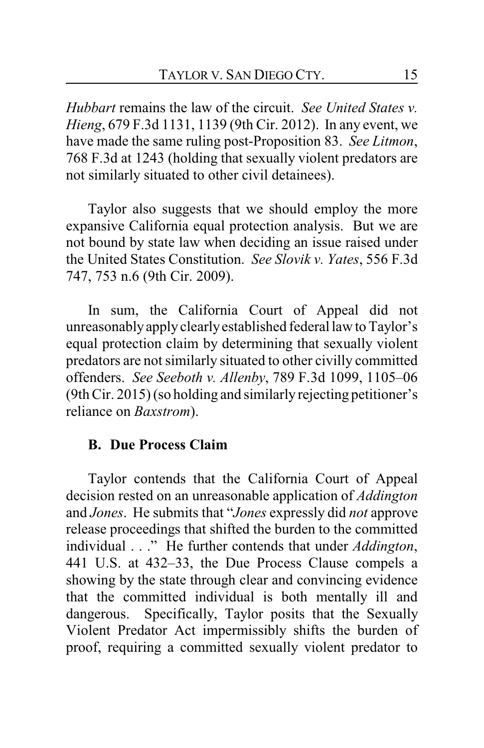*Hubbart* remains the law of the circuit. *See United States v. Hieng*, 679 F.3d 1131, 1139 (9th Cir. 2012). In any event, we have made the same ruling post-Proposition 83. *See Litmon*, 768 F.3d at 1243 (holding that sexually violent predators are not similarly situated to other civil detainees).

Taylor also suggests that we should employ the more expansive California equal protection analysis. But we are not bound by state law when deciding an issue raised under the United States Constitution. *See Slovik v. Yates*, 556 F.3d 747, 753 n.6 (9th Cir. 2009).

In sum, the California Court of Appeal did not unreasonablyapply clearlyestablished federal law to Taylor's equal protection claim by determining that sexually violent predators are not similarly situated to other civilly committed offenders. *See Seeboth v. Allenby*, 789 F.3d 1099, 1105–06 (9th Cir. 2015) (so holding and similarly rejecting petitioner's reliance on *Baxstrom*).

# **B. Due Process Claim**

Taylor contends that the California Court of Appeal decision rested on an unreasonable application of *Addington* and *Jones*. He submits that "*Jones* expressly did *not* approve release proceedings that shifted the burden to the committed individual . . ." He further contends that under *Addington*, 441 U.S. at 432–33, the Due Process Clause compels a showing by the state through clear and convincing evidence that the committed individual is both mentally ill and dangerous. Specifically, Taylor posits that the Sexually Violent Predator Act impermissibly shifts the burden of proof, requiring a committed sexually violent predator to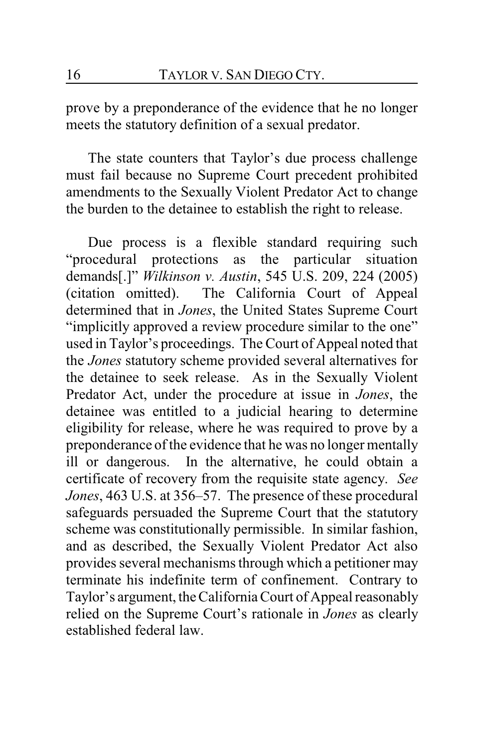prove by a preponderance of the evidence that he no longer meets the statutory definition of a sexual predator.

The state counters that Taylor's due process challenge must fail because no Supreme Court precedent prohibited amendments to the Sexually Violent Predator Act to change the burden to the detainee to establish the right to release.

Due process is a flexible standard requiring such "procedural protections as the particular situation demands[.]" *Wilkinson v. Austin*, 545 U.S. 209, 224 (2005) (citation omitted). The California Court of Appeal determined that in *Jones*, the United States Supreme Court "implicitly approved a review procedure similar to the one" used in Taylor's proceedings. The Court of Appeal noted that the *Jones* statutory scheme provided several alternatives for the detainee to seek release. As in the Sexually Violent Predator Act, under the procedure at issue in *Jones*, the detainee was entitled to a judicial hearing to determine eligibility for release, where he was required to prove by a preponderance of the evidence that he was no longer mentally ill or dangerous. In the alternative, he could obtain a certificate of recovery from the requisite state agency. *See Jones*, 463 U.S. at 356–57. The presence of these procedural safeguards persuaded the Supreme Court that the statutory scheme was constitutionally permissible. In similar fashion, and as described, the Sexually Violent Predator Act also provides several mechanisms through which a petitioner may terminate his indefinite term of confinement. Contrary to Taylor's argument, the California Court of Appeal reasonably relied on the Supreme Court's rationale in *Jones* as clearly established federal law.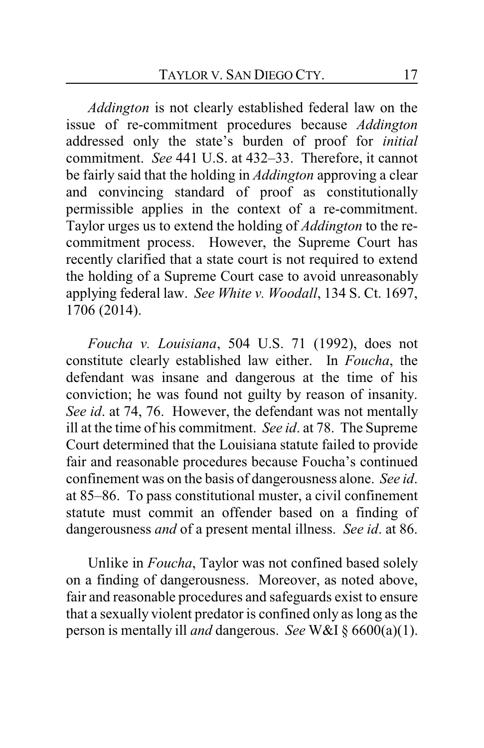*Addington* is not clearly established federal law on the issue of re-commitment procedures because *Addington* addressed only the state's burden of proof for *initial* commitment. *See* 441 U.S. at 432–33. Therefore, it cannot be fairly said that the holding in *Addington* approving a clear and convincing standard of proof as constitutionally permissible applies in the context of a re-commitment. Taylor urges us to extend the holding of *Addington* to the recommitment process. However, the Supreme Court has recently clarified that a state court is not required to extend the holding of a Supreme Court case to avoid unreasonably applying federal law. *See White v. Woodall*, 134 S. Ct. 1697, 1706 (2014).

*Foucha v. Louisiana*, 504 U.S. 71 (1992), does not constitute clearly established law either. In *Foucha*, the defendant was insane and dangerous at the time of his conviction; he was found not guilty by reason of insanity. *See id*. at 74, 76. However, the defendant was not mentally ill at the time of his commitment. *See id*. at 78. The Supreme Court determined that the Louisiana statute failed to provide fair and reasonable procedures because Foucha's continued confinement was on the basis of dangerousness alone. *See id*. at 85–86. To pass constitutional muster, a civil confinement statute must commit an offender based on a finding of dangerousness *and* of a present mental illness. *See id*. at 86.

Unlike in *Foucha*, Taylor was not confined based solely on a finding of dangerousness. Moreover, as noted above, fair and reasonable procedures and safeguards exist to ensure that a sexually violent predator is confined only as long as the person is mentally ill *and* dangerous. *See* W&I § 6600(a)(1).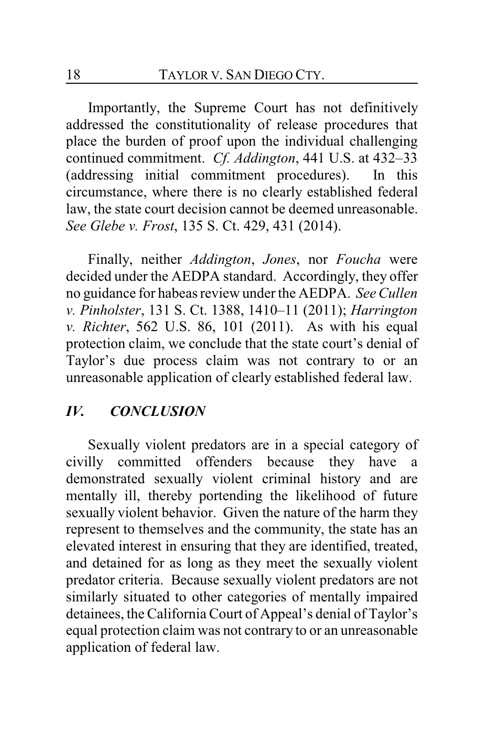Importantly, the Supreme Court has not definitively addressed the constitutionality of release procedures that place the burden of proof upon the individual challenging continued commitment. *Cf. Addington*, 441 U.S. at 432–33 (addressing initial commitment procedures). In this circumstance, where there is no clearly established federal law, the state court decision cannot be deemed unreasonable. *See Glebe v. Frost*, 135 S. Ct. 429, 431 (2014).

Finally, neither *Addington*, *Jones*, nor *Foucha* were decided under the AEDPA standard. Accordingly, they offer no guidance for habeas review under the AEDPA. *See Cullen v. Pinholster*, 131 S. Ct. 1388, 1410–11 (2011); *Harrington v. Richter*, 562 U.S. 86, 101 (2011). As with his equal protection claim, we conclude that the state court's denial of Taylor's due process claim was not contrary to or an unreasonable application of clearly established federal law.

# *IV. CONCLUSION*

Sexually violent predators are in a special category of civilly committed offenders because they have a demonstrated sexually violent criminal history and are mentally ill, thereby portending the likelihood of future sexually violent behavior. Given the nature of the harm they represent to themselves and the community, the state has an elevated interest in ensuring that they are identified, treated, and detained for as long as they meet the sexually violent predator criteria. Because sexually violent predators are not similarly situated to other categories of mentally impaired detainees, the California Court of Appeal's denial of Taylor's equal protection claim was not contrary to or an unreasonable application of federal law.